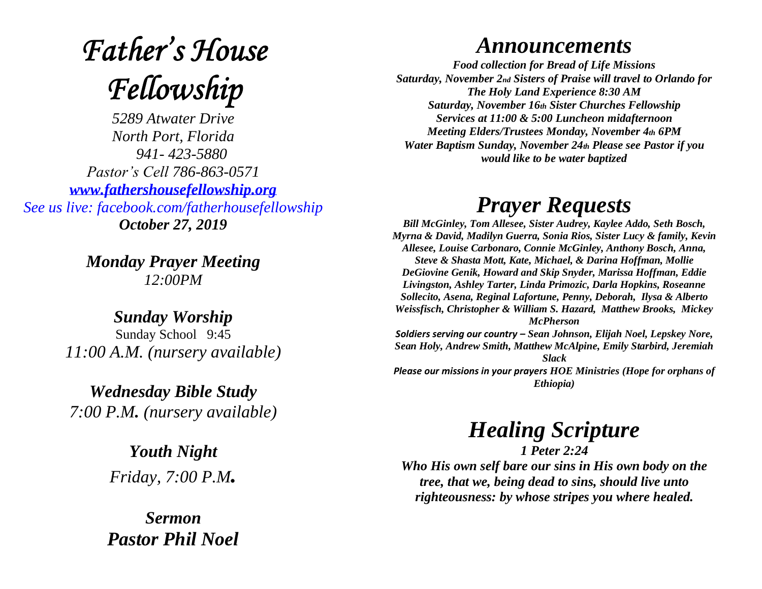# **Father's House** Fellowship

*5289 Atwater Drive North Port, Florida 941- 423-5880 Pastor's Cell 786-863-0571 [www.fathershousefellowship.org](http://www.fathershousefellowship.org/) See us live: facebook.com/fatherhousefellowship October 27, 2019*

> *Monday Prayer Meeting 12:00PM*

*Sunday Worship* Sunday School 9:45 *11:00 A.M. (nursery available)*

*Wednesday Bible Study 7:00 P.M. (nursery available)*

> *Youth Night Friday, 7:00 P.M.*

*Sermon Pastor Phil Noel*

#### *Announcements*

*Food collection for Bread of Life Missions Saturday, November 2nd Sisters of Praise will travel to Orlando for The Holy Land Experience 8:30 AM Saturday, November 16th Sister Churches Fellowship Services at 11:00 & 5:00 Luncheon midafternoon Meeting Elders/Trustees Monday, November 4th 6PM Water Baptism Sunday, November 24th Please see Pastor if you would like to be water baptized*

### *Prayer Requests*

*Bill McGinley, Tom Allesee, Sister Audrey, Kaylee Addo, Seth Bosch, Myrna & David, Madilyn Guerra, Sonia Rios, Sister Lucy & family, Kevin Allesee, Louise Carbonaro, Connie McGinley, Anthony Bosch, Anna, Steve & Shasta Mott, Kate, Michael, & Darina Hoffman, Mollie DeGiovine Genik, Howard and Skip Snyder, Marissa Hoffman, Eddie Livingston, Ashley Tarter, Linda Primozic, Darla Hopkins, Roseanne Sollecito, Asena, Reginal Lafortune, Penny, Deborah, Ilysa & Alberto Weissfisch, Christopher & William S. Hazard, Matthew Brooks, Mickey McPherson Soldiers serving our country – Sean Johnson, Elijah Noel, Lepskey Nore,* 

*Sean Holy, Andrew Smith, Matthew McAlpine, Emily Starbird, Jeremiah Slack*

*Please our missions in your prayers HOE Ministries (Hope for orphans of Ethiopia)*

## *Healing Scripture*

*1 Peter 2:24 Who His own self bare our sins in His own body on the tree, that we, being dead to sins, should live unto righteousness: by whose stripes you where healed.*